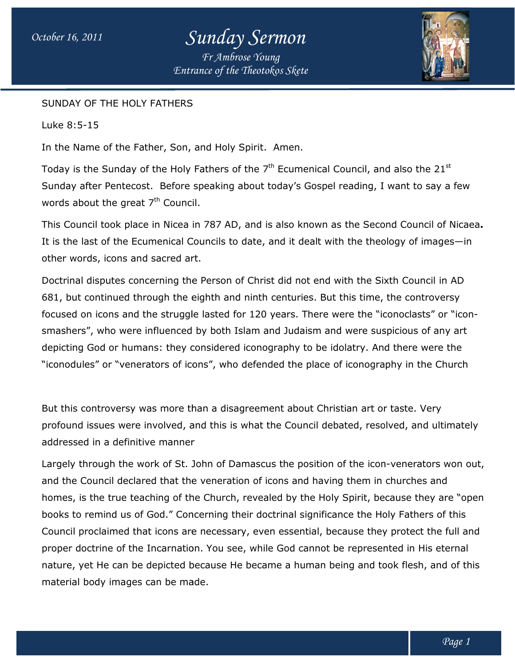# *October 16, 2011 Sunday Sermon*

*Entrance of the Theotokos Skete Fr Ambrose Young*



#### SUNDAY OF THE HOLY FATHERS

Luke 8:5-15

In the Name of the Father, Son, and Holy Spirit. Amen.

SUNDAY OF THE HOLY FATHERS<br>Luke 8:5-15<br>In the Name of the Father, Son, and Holy Spirit. Amen.<br>Today is the Sunday of the Holy Fathers of the 7<sup>th</sup> Ecumenical Council, and also the 21<sup>st</sup> Sunday after Pentecost. Before speaking about today's Gospel reading, I want to say a few words about the great  $7<sup>th</sup>$  Council.

This Council took place in Nicea in 787 AD, and is also known as the Second Council of Nicaea. It is the last of the Ecumenical Councils to date, and it dealt with the theology of images—in other words, icons and sacred art.

Doctrinal disputes concerning the Person of Christ did not end with the Sixth Council in AD 681, but continued through the eighth and ninth centuries. But this time, the controversy focused on icons and the struggle lasted for 120 years. There were the "iconoclasts" or "iconsmashers", who were influenced by both Islam and Judaism and were suspicious of any art depicting God or humans: they considered iconography to be idolatry. And there were the smashers", who were influenced by both Islam and Judaism and were suspicious of any art<br>depicting God or humans: they considered iconography to be idolatry. And there were the<br>"iconodules" or "venerators of icons", who def rds, icons and sacred art.<br>I disputes concerning the Person of Christ did not end with the Sixth Council in AD<br>continued through the eighth and ninth centuries. But this time, the controversy<br>on icons and the struggle last

But this controversy was more than a disagreement about Christian art or taste. Very profound issues were involved, and this is what the Council debated, resolved, and ultimately addressed in a definitive manner was more than a disagreement about Christian art or<br>e involved, and this is what the Council debated, reso<br>itive manner<br>work of St. John of Damascus the position of the icon ", who defended the place of iconography in the Church<br>a disagreement about Christian art or taste. Very<br>this is what the Council debated, resolved, and ultimately<br>n of Damascus the position of the icon-venerators won out,

Largely through the work of St. John of Damascus the position of the icon-venerators won out, and the Council declared that the veneration of icons and having them in churches and in churches homes, is the true teaching of the Church, revealed by the Holy Spirit, because they are "open books to remind us of God." Concerning their doctrinal significance the Holy Fathers of this Council proclaimed that icons are necessary, even essential, because they protect the full and proper doctrine of the Incarnation. You see, while God cannot be represented in His nature, yet He can be depicted because He became a human being and took flesh, and of this material body images can be made. books to remind us of God." Concerning their doctrinal significance the Holy Fathers of this<br>Council proclaimed that icons are necessary, even essential, because they protect the full ar<br>proper doctrine of the Incarnation.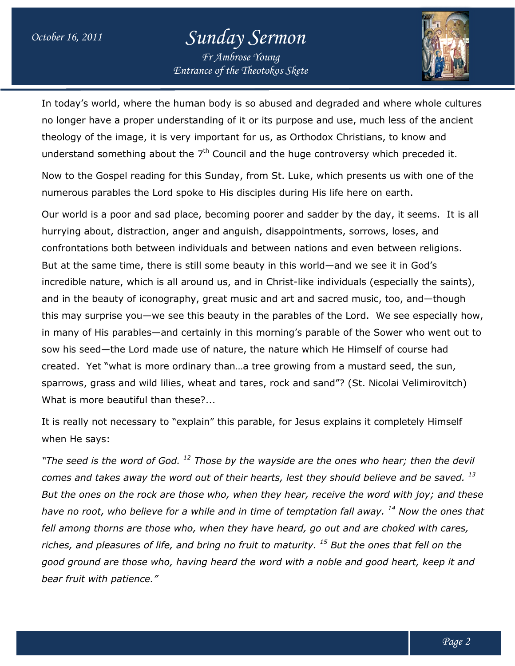### *October 16, 2011 Sunday Sermon Fr Ambrose Young*

*Entrance of the Theotokos Skete*



In today's world, where the human body is so abused and degraded and where whole cultures no longer have a proper understanding of it or its purpose and use, much less of the ancient theology of the image, it is very important for us, as Orthodox Christians, to know and understand something about the  $7<sup>th</sup>$  Council and the huge controversy which preceded it. where the human body is so abused and degraded and where whole c<br>proper understanding of it or its purpose and use, much less of the an<br>nage, it is very important for us, as Orthodox Christians, to know and

Now to the Gospel reading for this Sunday, from St. Luke, which presents us with one of the numerous parables the Lord spoke to His disciples during His life here on earth. Now to the Gospel reading for this Sunday, from St. Luke, which presents us with one of the<br>numerous parables the Lord spoke to His disciples during His life here on earth.<br>Our world is a poor and sad place, becoming poore

hurrying about, distraction, anger and anguish, disappointments, sorrows, loses, and confrontations both between individuals and between nations and even between religions. But at the same time, there is still some beauty in this world—and we see it in God's incredible nature, which is all around us, and in Christ-like individuals (especially the saints), and in the beauty of iconography, great music and art and sacred music, too, and—though this may surprise you—we see this beauty in the parables of the Lord. We see especially how, and in the beauty of iconography, great music and art and sacred music, too, and—though<br>this may surprise you—we see this beauty in the parables of the Lord. We see especially how,<br>in many of His parables—and certainly in sow his seed—the Lord made use of nature, the nature which He Himself of course had created. Yet "what is more ordinary than…a tree growing from a mustard seed, the sun, sparrows, grass and wild lilies, wheat and tares, rock and sand"? (St. Nicolai Velimirovitch) What is more beautiful than these?... about, distraction, anger and anguish, disappointments, sorrows, loses, and<br>itions both between individuals and between nations and even between relig<br>e same time, there is still some beauty in this world—and we see it in sow his seed—the Lord made use of nature, the nature which He Himself of course had<br>created. Yet "what is more ordinary than…a tree growing from a mustard seed, the sun,<br>sparrows, grass and wild lilies, wheat and tares, ro ige controversy which preceded it.<br>
ike, which presents us with one of thought<br>
ing His life here on earth.<br>
d sadder by the day, it seems. It is<br>
bintments, sorrows, loses, and<br>
lations and even between religions.<br>
world and certainly in this morning's parable of the Sower who went ou<br>ade use of nature, the nature which He Himself of course had<br>re ordinary than...a tree growing from a mustard seed, the sun,<br>lilies, wheat and tares, rock an

It is really not necessary to "explain" this parable, for Jesus explains it completely Himself when He says:

"The seed is the word of God.<sup>12</sup> Those by the wayside are the ones who hear; then the devil comes and takes away the word out of their hearts, lest they should believe and be saved. <sup>13</sup> comes and takes away the word out of their hearts, lest they should believe and be saved. <sup>13</sup><br>But the ones on the rock are those who, when they hear, receive the word with joy; and these *have no root, who believe for a while and in time of temptation fall away. <sup>14</sup> Now the ones that fell among thorns are those who, when they have heard, go out and are cho choked with cares,*  have no root, who believe for a while and in time of temptation fall away. <sup>14</sup> Now the ones<br>fell among thorns are those who, when they have heard, go out and are choked with cares<br>riches, and pleasures of life, and bring good ground are those who, having heard the word with a noble and good heart, keep it and *bear fruit with patience."*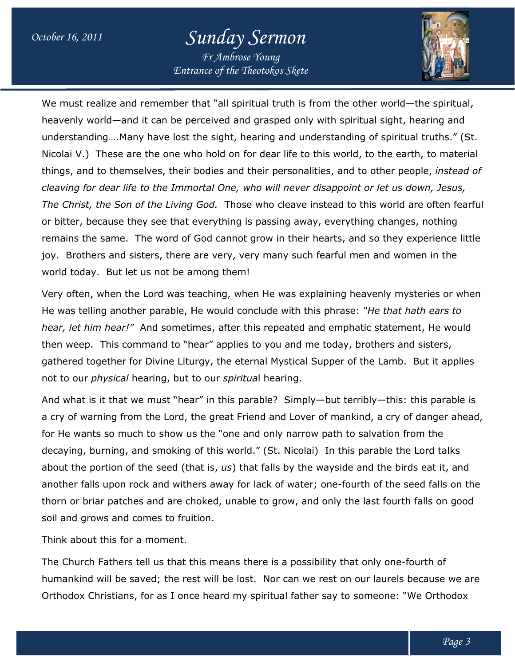## *October 16, 2011 Sunday Sermon*

*Entrance of the Theotokos Skete Fr Ambrose Young*



We must realize and remember that "all spiritual truth is from the other world—the spiritual, heavenly world—and it can be perceived and grasped only with spiritual sight, hearing and understanding….Many have lost the sight, hearing and understanding of spiritual truths." (St. Nicolai V.) These are the one who hold on for dear life to this world, to the earth, to material things, and to themselves, their bodies and their personalities, and to other people, *instead of cleaving for dear life to the Immortal One, who will never disap disappoint or let us down, Jesus, point* The Christ, the Son of the Living God. Those who cleave instead to this world are often fearful or bitter, because they see that everything is passing away, everything changes, nothing *The Christ, the Son of the Living God.* Those who cleave instead to this world are often fearfu<br>or bitter, because they see that everything is passing away, everything changes, nothing<br>remains the same. The word of God ca joy. Brothers and sisters, there are very, very many such fearful men and women in the world today. But let us not be among them! world today. But let us not be among them!<br>Very often, when the Lord was teaching, when He was explaining heavenly mysteries or when must realize and remember that "all spiritual truth is from the other world—the s<br>avenly world—and it can be perceived and grasped only with spiritual sight, hearir<br>derstanding....Many have lost the sight, hearing and unde

He was telling another parable, He would conclude with this phrase: "He that hath ears to *hear, let him hear!"* And sometimes, after this repeated and emphatic statement, He would *hear, let him hear!"* And sometimes, after this repeated and emphatic statement, He wo<br>then weep. This command to "hear" applies to you and me today, brothers and sisters, gathered together for Divine Liturgy, the eternal Mystical Supper of the Lamb. But it applies<br>not to our *physical* hearing, but to our *spiritua*l hearing. not to our *physical* hearing, but to our blaining heavenly mysteries or wher<br>is phrase: "*He that hath ears to*<br>nd emphatic statement, He would<br>e today, brothers and sisters,<br>Supper of the Lamb. But it applies<br>/--but terribly-this: this parable is

And what is it that we must "hear" in this parable? Simply—but terribly a cry of warning from the Lord, the great Friend and Lover of mankind, a cry of danger ahead, for He wants so much to show us the "one and only narrow path to salvation from the decaying, burning, and smoking of this world." (St. Nicolai) In this parable the Lord talks about the portion of the seed (that is, us) that falls by the wayside and the birds eat it, and another falls upon rock and withers away for lack of water; one-fourth of the seed falls on the thorn or briar patches and are choked, unable to grow, and only the last fourth falls on good soil and grows and comes to fruition. thorn or briar patches and are choked, unable to grow, and only the last fourth falls<br>soil and grows and comes to fruition.<br>Think about this for a moment.<br>The Church Fathers tell us that this means there is a possibility t a cry of warning from the Lord, the great Friend and Lover of mankind, a cry of danger ah<br>for He wants so much to show us the "one and only narrow path to salvation from the<br>decaying, burning, and smoking of this world." ( Nicolai) In this parable the Lord talks<br>by the wayside and the birds eat it, and<br>i water; one-fourth of the seed falls on the<br>ow, and only the last fourth falls on good<br>a possibility that only one-fourth of

Think about this for a moment.

humankind will be saved; the rest will be lost. Nor can we rest on our laurels because we are Orthodox Christians, for as I once heard my spiritual father say to someone: "We Orthodox